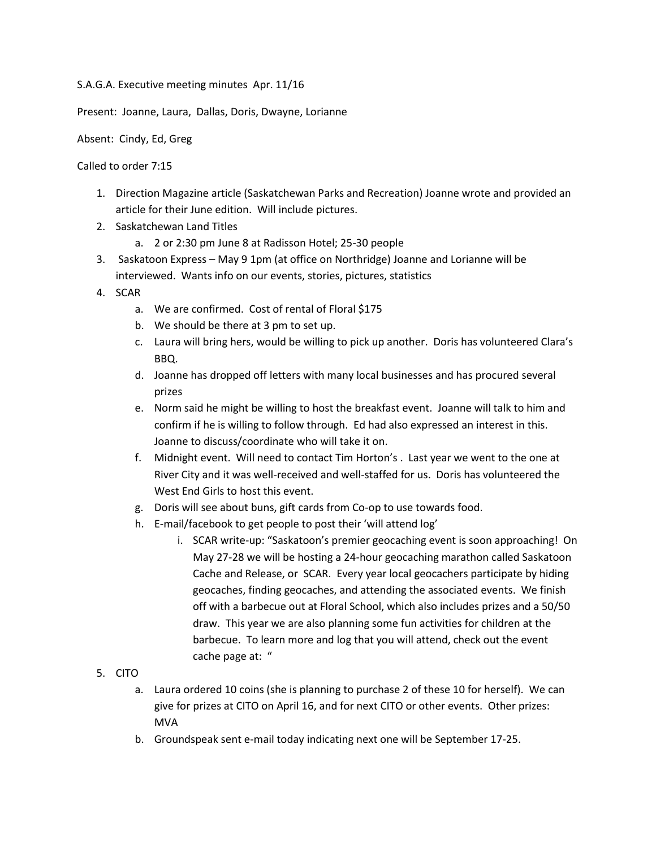S.A.G.A. Executive meeting minutes Apr. 11/16

Present: Joanne, Laura, Dallas, Doris, Dwayne, Lorianne

Absent: Cindy, Ed, Greg

Called to order 7:15

- 1. Direction Magazine article (Saskatchewan Parks and Recreation) Joanne wrote and provided an article for their June edition. Will include pictures.
- 2. Saskatchewan Land Titles
	- a. 2 or 2:30 pm June 8 at Radisson Hotel; 25-30 people
- 3. Saskatoon Express May 9 1pm (at office on Northridge) Joanne and Lorianne will be interviewed. Wants info on our events, stories, pictures, statistics
- 4. SCAR
	- a. We are confirmed. Cost of rental of Floral \$175
	- b. We should be there at 3 pm to set up.
	- c. Laura will bring hers, would be willing to pick up another. Doris has volunteered Clara's BBQ.
	- d. Joanne has dropped off letters with many local businesses and has procured several prizes
	- e. Norm said he might be willing to host the breakfast event. Joanne will talk to him and confirm if he is willing to follow through. Ed had also expressed an interest in this. Joanne to discuss/coordinate who will take it on.
	- f. Midnight event. Will need to contact Tim Horton's . Last year we went to the one at River City and it was well-received and well-staffed for us. Doris has volunteered the West End Girls to host this event.
	- g. Doris will see about buns, gift cards from Co-op to use towards food.
	- h. E-mail/facebook to get people to post their 'will attend log'
		- i. SCAR write-up: "Saskatoon's premier geocaching event is soon approaching! On May 27-28 we will be hosting a 24-hour geocaching marathon called Saskatoon Cache and Release, or SCAR. Every year local geocachers participate by hiding geocaches, finding geocaches, and attending the associated events. We finish off with a barbecue out at Floral School, which also includes prizes and a 50/50 draw. This year we are also planning some fun activities for children at the barbecue. To learn more and log that you will attend, check out the event cache page at: "

## 5. CITO

- a. Laura ordered 10 coins (she is planning to purchase 2 of these 10 for herself). We can give for prizes at CITO on April 16, and for next CITO or other events. Other prizes: MVA
- b. Groundspeak sent e-mail today indicating next one will be September 17-25.